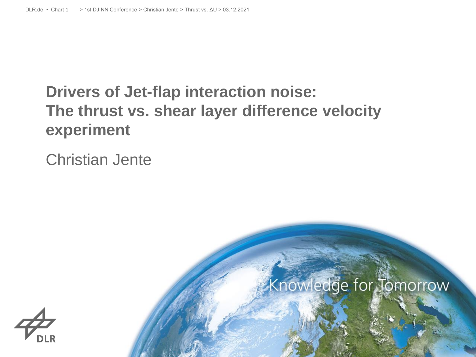# **Drivers of Jet-flap interaction noise: The thrust vs. shear layer difference velocity experiment**

#### Christian Jente



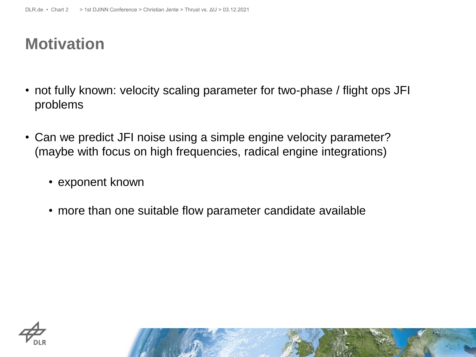## **Motivation**

- not fully known: velocity scaling parameter for two-phase / flight ops JFI problems
- Can we predict JFI noise using a simple engine velocity parameter? (maybe with focus on high frequencies, radical engine integrations)
	- exponent known
	- more than one suitable flow parameter candidate available

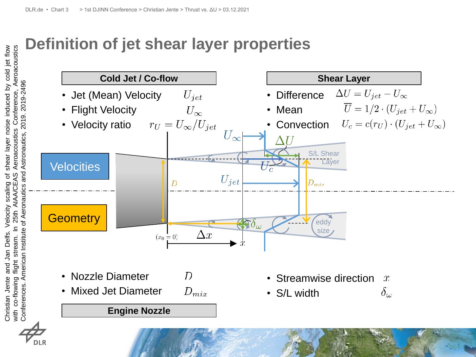## **Definition of jet shear layer properties**

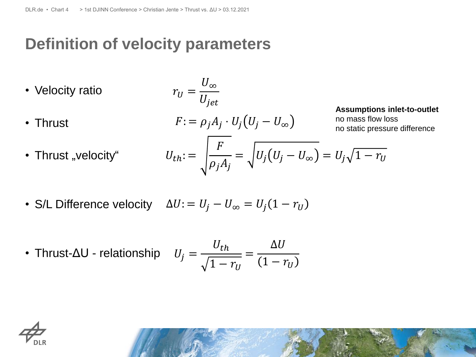## **Definition of velocity parameters**

\n- Velocity ratio\n 
$$
r_U = \frac{U_\infty}{U_{jet}}
$$
\n
\n- Thrust\n 
$$
F := \rho_j A_j \cdot U_j \left( U_j - U_\infty \right)
$$
\nAssumptions inlet-to-outlet no mass flow loss notatic pressure difference

\n
\n- Thrust "velocity" 
$$
U_{th} := \sqrt{\frac{F}{\rho_j A_j}} = \sqrt{U_j \left( U_j - U_\infty \right)} = U_j \sqrt{1 - r_U}
$$
\n
\n

• S/L Difference velocity 
$$
\Delta U
$$
: =  $U_j - U_\infty = U_j(1 - r_U)$ 

• Thrust-
$$
\Delta U
$$
 - relationship  $U_j = \frac{U_{th}}{\sqrt{1 - r_U}} = \frac{\Delta U}{(1 - r_U)}$ 

$$
\overrightarrow{\mathcal{L}_{\text{DLR}}}
$$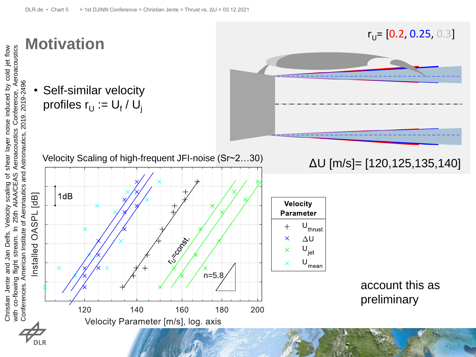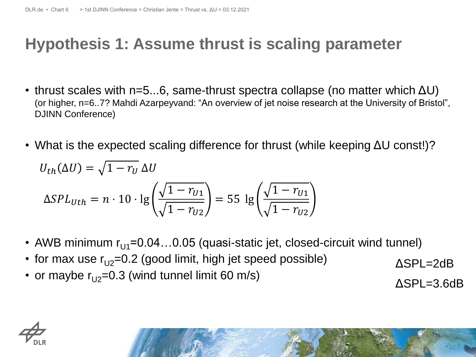## **Hypothesis 1: Assume thrust is scaling parameter**

- thrust scales with  $n=5...6$ , same-thrust spectra collapse (no matter which  $\Delta U$ ) (or higher, n=6..7? Mahdi Azarpeyvand: "An overview of jet noise research at the University of Bristol", DJINN Conference)
- What is the expected scaling difference for thrust (while keeping ΔU const!)?

$$
U_{th}(\Delta U) = \sqrt{1 - r_U} \Delta U
$$
  
\n
$$
\Delta SPL_{Uth} = n \cdot 10 \cdot \lg \left( \frac{\sqrt{1 - r_{U1}}}{\sqrt{1 - r_{U2}}} \right) = 55 \lg \left( \frac{\sqrt{1 - r_{U1}}}{\sqrt{1 - r_{U2}}} \right)
$$

- AWB minimum  $r_{U1}$ =0.04...0.05 (quasi-static jet, closed-circuit wind tunnel)
- for max use  $r_{U2}=0.2$  (good limit, high jet speed possible)

• or maybe  $r_{12}=0.3$  (wind tunnel limit 60 m/s)

ΔSPL=2dB

ΔSPL=3.6dB

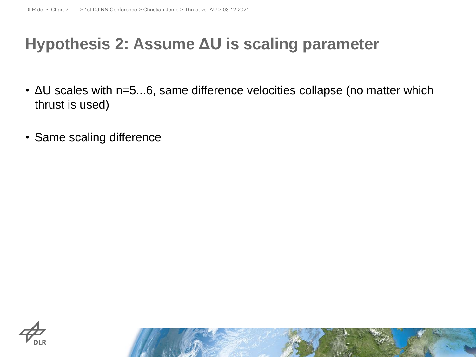## **Hypothesis 2: Assume ΔU is scaling parameter**

- ΔU scales with n=5...6, same difference velocities collapse (no matter which thrust is used)
- Same scaling difference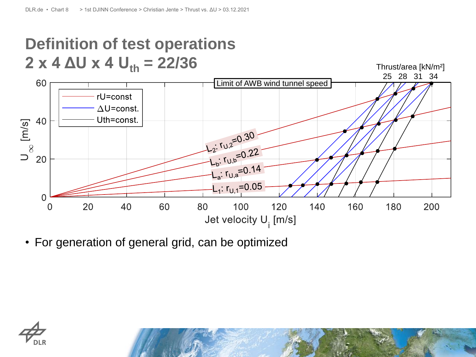# **Definition of test operations**  $2 \times 4 \Delta U \times 4 U_{th} = 22/36$



• For generation of general grid, can be optimized

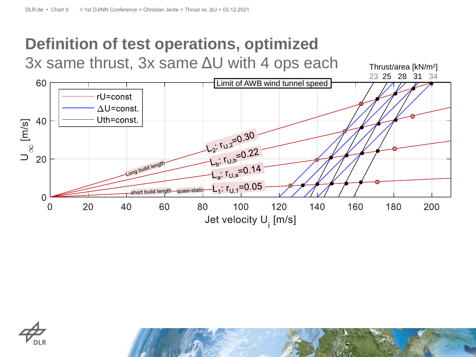# **Definition of test operations, optimized**

3x same thrust, 3x same ΔU with 4 ops each



Thrust/area [kN/m²]

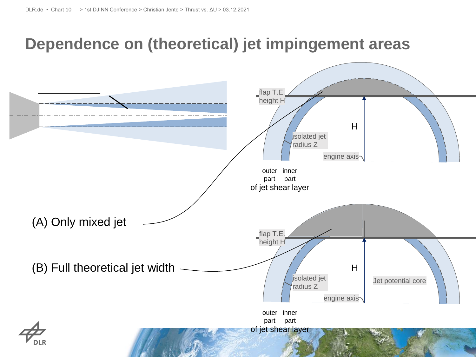## **Dependence on (theoretical) jet impingement areas**

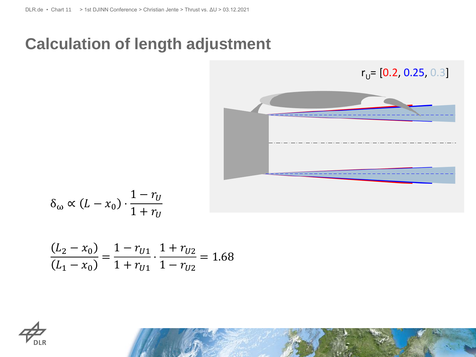### **Calculation of length adjustment**

![](_page_10_Picture_2.jpeg)

$$
\delta_{\omega} \propto (L - x_0) \cdot \frac{1 - r_U}{1 + r_U}
$$

$$
\frac{(L_2 - x_0)}{(L_1 - x_0)} = \frac{1 - r_{U1}}{1 + r_{U1}} \cdot \frac{1 + r_{U2}}{1 - r_{U2}} = 1.68
$$

![](_page_10_Picture_5.jpeg)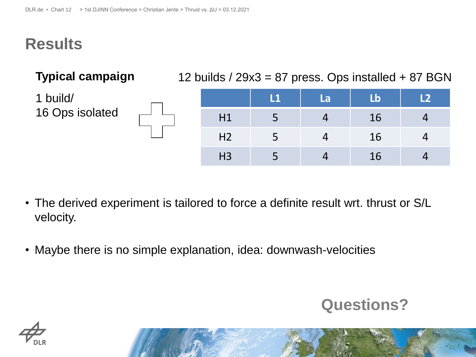## **Results**

| <b>Typical campaign</b>     | 12 builds / $29x3 = 87$ press. Ops installed $+ 87$ BGN |              |    |    |    |  |
|-----------------------------|---------------------------------------------------------|--------------|----|----|----|--|
| 1 build/<br>16 Ops isolated |                                                         | $\mathbf{L}$ | La | Lb | L2 |  |
|                             | H1                                                      |              | 4  | 16 | 4  |  |
|                             | H <sub>2</sub>                                          |              |    | 16 | 4  |  |
|                             | H3                                                      |              |    | 16 | 4  |  |

- The derived experiment is tailored to force a definite result wrt. thrust or S/L velocity.
- Maybe there is no simple explanation, idea: downwash-velocities

#### **Questions?**

![](_page_11_Picture_7.jpeg)